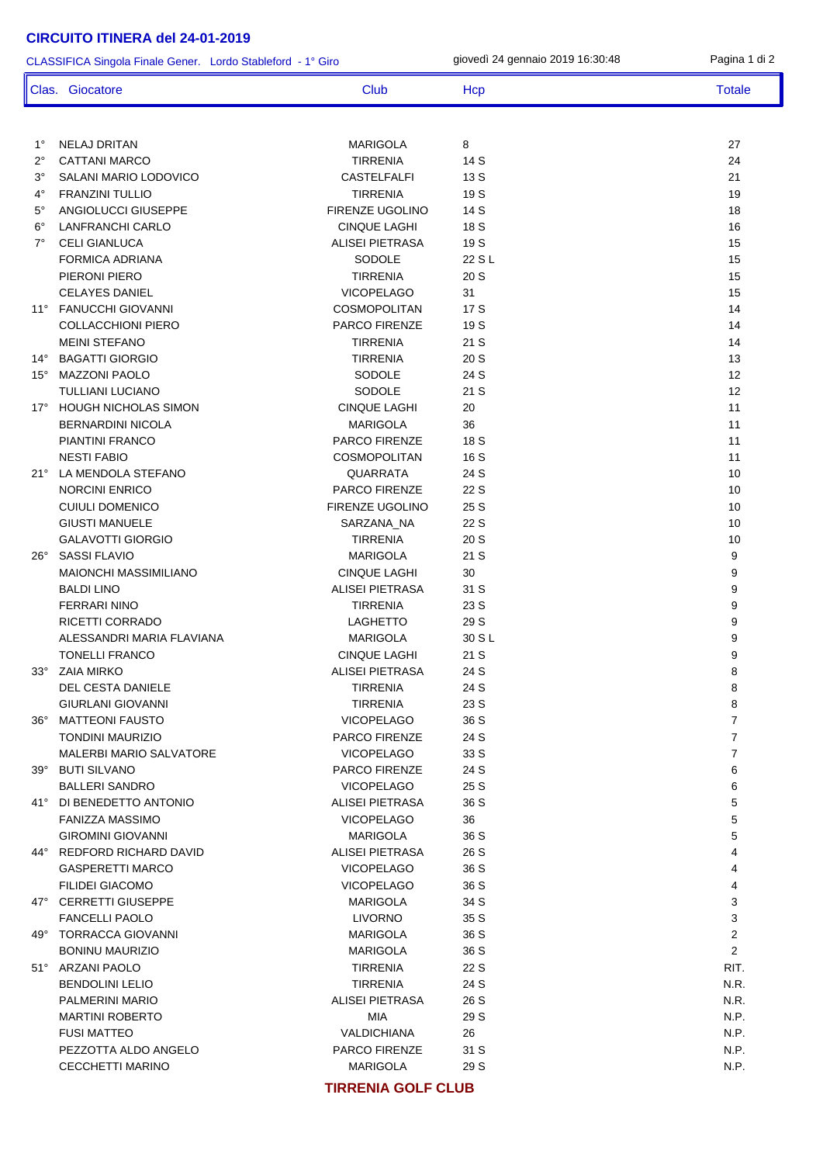1° NELAJ DRITAN MARIGOLA 8 27 2° CATTANI MARCO TIRRENIA 14 S 24 3° SALANI MARIO LODOVICO CASTELFALFI 13 S 21 4° FRANZINI TULLIO TIRRENIA 19 S 19 5° ANGIOLUCCI GIUSEPPE FIRENZE UGOLINO 14 S 18 6° LANFRANCHI CARLO CINQUE LAGHI 18 S 16 <sup>7</sup> CELI GIANLUCA **ALISEI PIETRASA** 19 S 15 FORMICA ADRIANA 15 PIERONI PIERO TIRRENIA 20 S 15 CELAYES DANIEL VICOPELAGO 31 15 11° FANUCCHI GIOVANNI COSMOPOLITAN 17 S 14 COLLACCHIONI PIERO PARCO FIRENZE 19 S 14 MEINI STEFANO TIRRENIA 21 S 14 14° BAGATTI GIORGIO TIRRENIA 20 S 13 15° MAZZONI PAOLO SODOLE 24 S 12 TULLIANI LUCIANO SODOLE 21 S 12 17° HOUGH NICHOLAS SIMON CINQUE LAGHI 20 20 20 11 BERNARDINI NICOLA 11 PIANTINI FRANCO **PARCO FIRENZE** 18 S 11 NESTI FABIO 11 NOVEMBRI 2008 NON-MARCHETAN 16 S 21° LA MENDOLA STEFANO QUARRATA 24 S 10 NORCINI ENRICO PARCO FIRENZE 22 S 10 CUIULI DOMENICO FIRENZE UGOLINO 25 S 10 GIUSTI MANUELE SARZANA\_NA 22 S 10 GALAVOTTI GIORGIO TIRRENIA 20 S 10 26° SASSI FLAVIO MARIGOLA 21 S 9 MAIONCHI MASSIMILIANO CINQUE LAGHI 30 9 BALDI LINO ALISEI PIETRASA 31 S 9 FERRARI NINO TIRRENIA 23 S 9 RICETTI CORRADO DE LAGHETTO 29 S 9 ALESSANDRI MARIA FLAVIANA MARIGOLA 30 S L 9 TONELLI FRANCO SANTA SANTA CINQUE LAGHI 21 S 33° ZAIA MIRKO 88 NOVEMBER 24 S 88 NOVEMBER 24 S 88 NOVEMBER 24 S 88 NOVEMBER 24 S 88 NOVEMBER 24 S 88 NOVEMBER 24 S DEL CESTA DANIELE TIRRENIA 24 S 8 GIURLANI GIOVANNI TIRRENIA 23 S 8 36° MATTEONI FAUSTO VICOPELAGO 36 S 7 TONDINI MAURIZIO TOTALE PARCO FIRENZE 24 S MALERBI MARIO SALVATORE VICOPELAGO 33 S 7 39° BUTI SILVANO PARCO FIRENZE 24 S 6 BALLERI SANDRO VICOPELAGO 25 S 6 41° DI BENEDETTO ANTONIO ALISEI PIETRASA 36 S 5 FANIZZA MASSIMO VICOPELAGO 36 5 GIROMINI GIOVANNI MARIGOLA 36 S 5 44° REDFORD RICHARD DAVID ALISEI PIETRASA 26 S 4 GASPERETTI MARCO VICOPELAGO 36 S 4 FILIDEI GIACOMO VICOPELAGO 36 S 4 47° CERRETTI GILISEPPE 3 ANNO 1999 MARIGOLA 34 S FANCELLI PAOLO LIVORNO 35 S 3 49° TORRACCA GIOVANNI MARIGOLA 36 S 2 BONINU MAURIZIO MARIGOLA 36 S 2 51° ARZANI PAOLO TIRRENIA 22 S RIT. BENDOLINI LELIO TIRRENIA 24 S N.R. PALMERINI MARIO ALISEI PIETRASA 26 S N.R. MARTINI ROBERTO MIA 29 S N.P. FUSI MATTEO VALDICHIANA 26 N.P. PEZZOTTA ALDO ANGELO PARCO FIRENZE 31 S N.P. PARCO PARCO FIRENZE 31 S CECCHETTI MARINO **MARIGOLA** 29 S N.P. CLASSIFICA Singola Finale Gener. Lordo Stableford - 1° Giro Clas. Giocatore Club Club Hcp Hcp Totale

giovedì 24 gennaio 2019 16:30:48 Pagina 1 di 2

**TIRRENIA GOLF CLUB**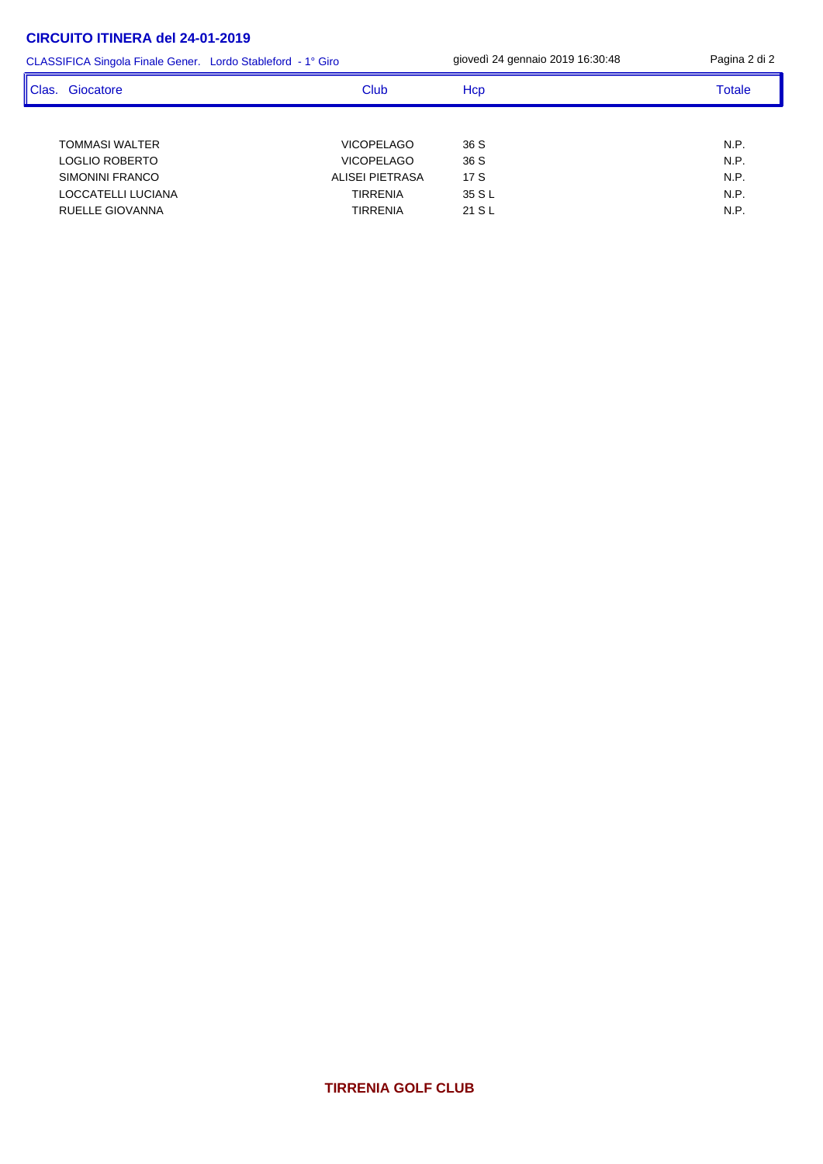| CLASSIFICA Singola Finale Gener. Lordo Stableford - 1° Giro | giovedì 24 gennaio 2019 16:30:48 | Pagina 2 di 2 |               |
|-------------------------------------------------------------|----------------------------------|---------------|---------------|
| ll Clas.<br>Giocatore                                       | Club                             | Hcp           | <b>Totale</b> |
|                                                             |                                  |               |               |
| <b>TOMMASI WALTER</b>                                       | <b>VICOPELAGO</b>                | 36 S          | N.P.          |
| LOGLIO ROBERTO                                              | <b>VICOPELAGO</b>                | 36 S          | N.P.          |
| SIMONINI FRANCO                                             | ALISEI PIETRASA                  | 17S           | N.P.          |
| LOCCATELLI LUCIANA                                          | TIRRENIA                         | 35 S L        | N.P.          |
| RUELLE GIOVANNA                                             | <b>TIRRENIA</b>                  | 21 S L        | N.P.          |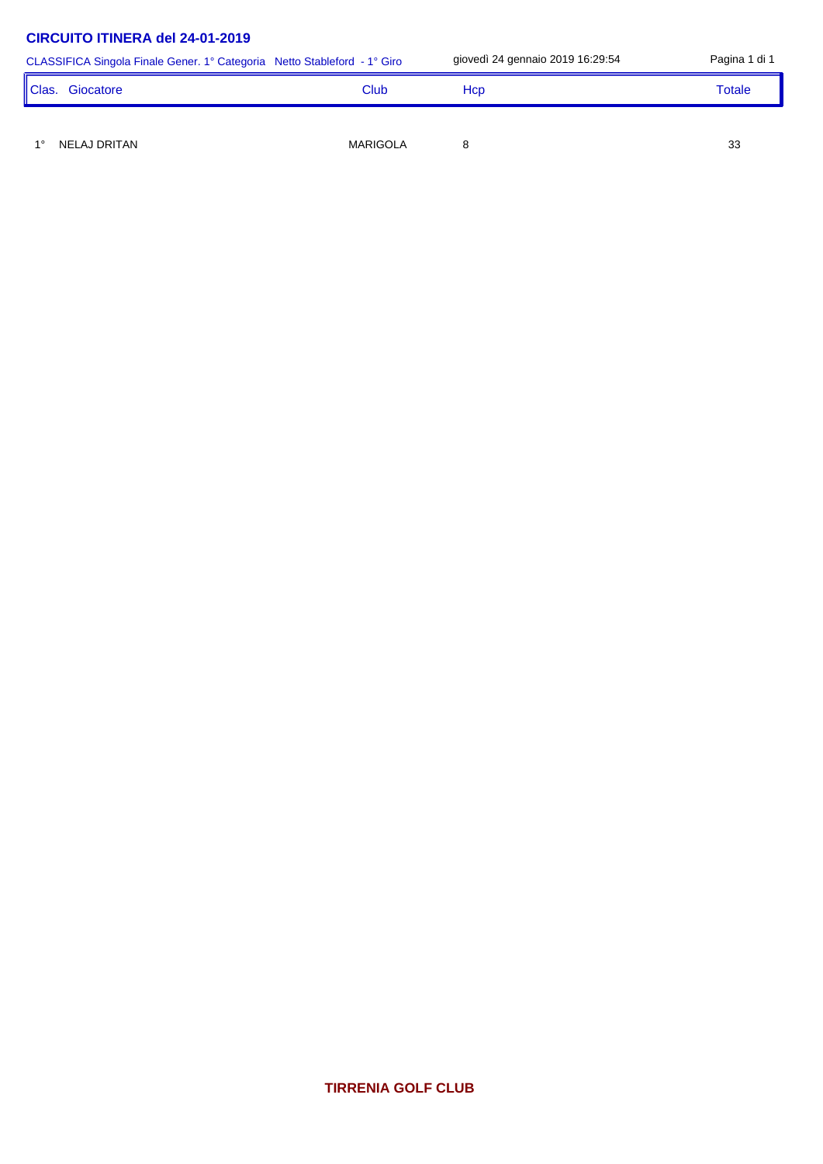|       | CLASSIFICA Singola Finale Gener. 1° Categoria Netto Stableford - 1° Giro |                 | giovedì 24 gennaio 2019 16:29:54 | Pagina 1 di 1 |
|-------|--------------------------------------------------------------------------|-----------------|----------------------------------|---------------|
| Clas. | Giocatore                                                                | Club            | Hcp                              | Totale        |
|       |                                                                          |                 |                                  |               |
|       | NELAJ DRITAN                                                             | <b>MARIGOLA</b> |                                  | 33            |

**TIRRENIA GOLF CLUB**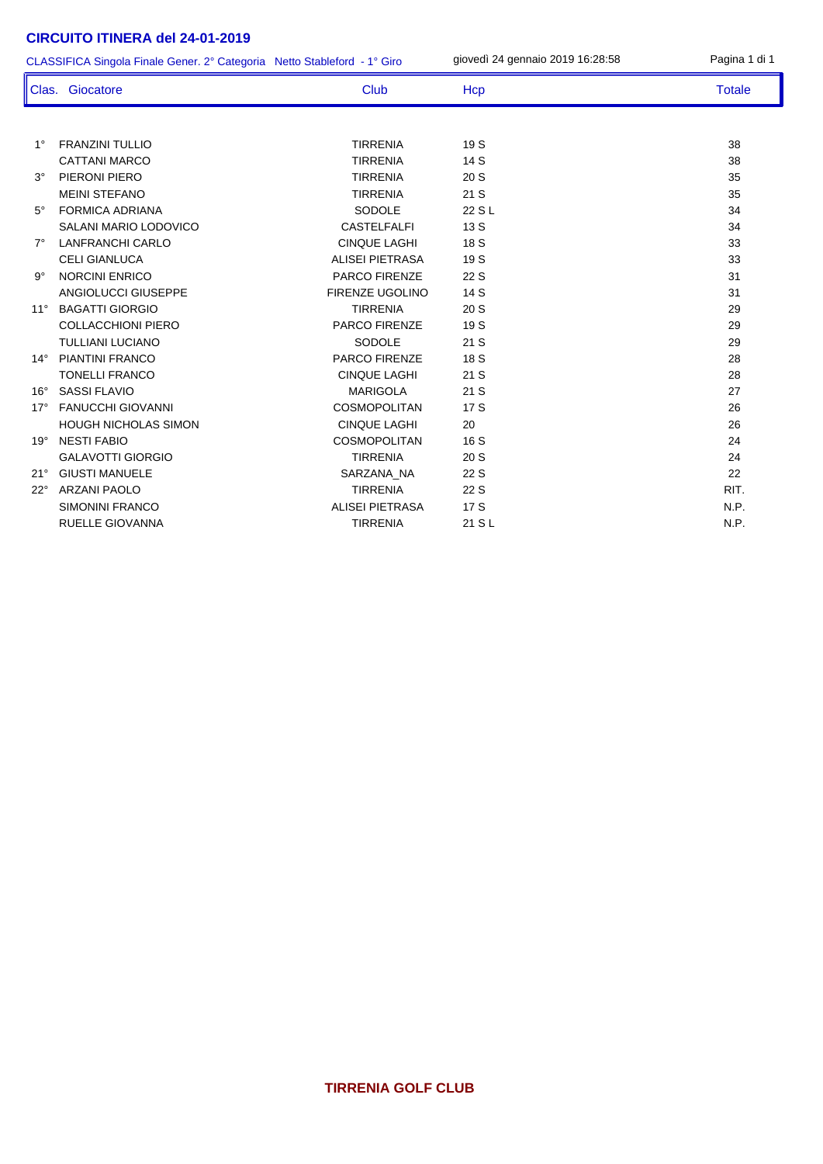|              | CLASSIFICA Singola Finale Gener. 2° Categoria Netto Stableford - 1° Giro |                        | giovedì 24 gennaio 2019 16:28:58 | Pagina 1 di 1 |
|--------------|--------------------------------------------------------------------------|------------------------|----------------------------------|---------------|
|              | Clas. Giocatore                                                          | <b>Club</b>            | Hcp                              | <b>Totale</b> |
|              |                                                                          |                        |                                  |               |
| $1^{\circ}$  | <b>FRANZINI TULLIO</b>                                                   | <b>TIRRENIA</b>        | 19 S                             | 38            |
|              | <b>CATTANI MARCO</b>                                                     | <b>TIRRENIA</b>        | 14 S                             | 38            |
| $3^\circ$    | PIERONI PIERO                                                            | <b>TIRRENIA</b>        | 20S                              | 35            |
|              | <b>MEINI STEFANO</b>                                                     | <b>TIRRENIA</b>        | 21 S                             | 35            |
| $5^\circ$    | <b>FORMICA ADRIANA</b>                                                   | <b>SODOLE</b>          | 22 S L                           | 34            |
|              | SALANI MARIO LODOVICO                                                    | <b>CASTELFALFI</b>     | 13S                              | 34            |
| $7^\circ$    | <b>LANFRANCHI CARLO</b>                                                  | <b>CINQUE LAGHI</b>    | 18 S                             | 33            |
|              | CELI GIANLUCA                                                            | <b>ALISEI PIETRASA</b> | 19 S                             | 33            |
| $9^{\circ}$  | <b>NORCINI ENRICO</b>                                                    | <b>PARCO FIRENZE</b>   | 22 S                             | 31            |
|              | <b>ANGIOLUCCI GIUSEPPE</b>                                               | FIRENZE UGOLINO        | 14 S                             | 31            |
| $11^{\circ}$ | <b>BAGATTI GIORGIO</b>                                                   | <b>TIRRENIA</b>        | 20S                              | 29            |
|              | <b>COLLACCHIONI PIERO</b>                                                | PARCO FIRENZE          | 19 S                             | 29            |
|              | <b>TULLIANI LUCIANO</b>                                                  | <b>SODOLE</b>          | 21S                              | 29            |
| $14^{\circ}$ | <b>PIANTINI FRANCO</b>                                                   | PARCO FIRENZE          | 18 S                             | 28            |
|              | <b>TONELLI FRANCO</b>                                                    | <b>CINQUE LAGHI</b>    | 21 S                             | 28            |
| $16^{\circ}$ | <b>SASSI FLAVIO</b>                                                      | <b>MARIGOLA</b>        | 21S                              | 27            |
| $17^\circ$   | <b>FANUCCHI GIOVANNI</b>                                                 | <b>COSMOPOLITAN</b>    | 17 S                             | 26            |
|              | <b>HOUGH NICHOLAS SIMON</b>                                              | <b>CINQUE LAGHI</b>    | 20                               | 26            |
| $19^\circ$   | <b>NESTI FABIO</b>                                                       | <b>COSMOPOLITAN</b>    | 16 S                             | 24            |
|              | <b>GALAVOTTI GIORGIO</b>                                                 | <b>TIRRENIA</b>        | 20S                              | 24            |
| 21°          | <b>GIUSTI MANUELE</b>                                                    | SARZANA NA             | 22 S                             | 22            |
| $22^{\circ}$ | <b>ARZANI PAOLO</b>                                                      | <b>TIRRENIA</b>        | 22 S                             | RIT.          |
|              | <b>SIMONINI FRANCO</b>                                                   | <b>ALISEI PIETRASA</b> | 17 S                             | N.P.          |
|              | <b>RUELLE GIOVANNA</b>                                                   | <b>TIRRENIA</b>        | 21 S L                           | N.P.          |